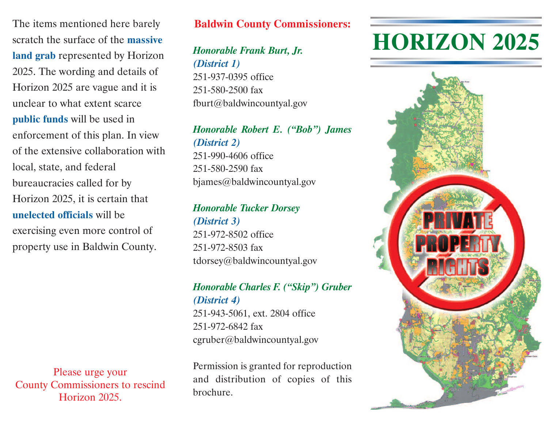The items mentioned here barely scratch the surface of the **massive land grab** represented by Horizon 2025. The wording and details of Horizon 2025 are vague and it is unclear to what extent scarce **public funds** will be used in enforcement of this plan. In view of the extensive collaboration with local, state, and federal bureaucracies called for by Horizon 2025, it is certain that **unelected officials** will be exercising even more control of property use in Baldwin County.

Please urge your County Commissioners to rescind Horizon 2025.

#### **Baldwin County Commissioners:**

*Honorable Frank Burt, Jr. (District 1)* 251-937-0395 office 251-580-2500 fax fburt@baldwincountyal.gov

## *Honorable Robert E. ("Bob") James (District 2)* 251-990-4606 office

251-580-2590 fax bjames@baldwincountyal.gov

#### *Honorable Tucker Dorsey (District 3)*

251-972-8502 office 251-972-8503 fax tdorsey@baldwincountyal.gov

#### *Honorable Charles F. ("Skip") Gruber (District 4)*

251-943-5061, ext. 2804 office 251-972-6842 fax cgruber@baldwincountyal.gov

Permission is granted for reproduction and distribution of copies of this brochure.

# **HORIZON 2025**